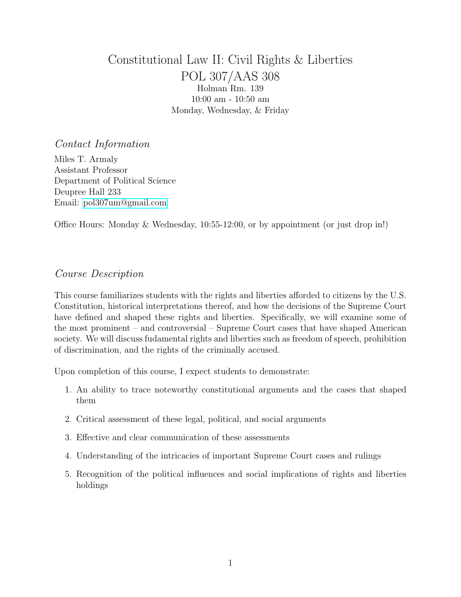# <span id="page-0-0"></span>Constitutional Law II: Civil Rights & Liberties POL 307/AAS 308 Holman Rm. 139 10:00 am - 10:50 am Monday, Wednesday, & Friday

# Contact Information

Miles T. Armaly Assistant Professor Department of Political Science Deupree Hall 233 Email: [pol307um@gmail.com](mailto:pol307um@gmail.com)

Office Hours: Monday & Wednesday, 10:55-12:00, or by appointment (or just drop in!)

# Course Description

This course familiarizes students with the rights and liberties afforded to citizens by the U.S. Constitution, historical interpretations thereof, and how the decisions of the Supreme Court have defined and shaped these rights and liberties. Specifically, we will examine some of the most prominent – and controversial – Supreme Court cases that have shaped American society. We will discuss fudamental rights and liberties such as freedom of speech, prohibition of discrimination, and the rights of the criminally accused.

Upon completion of this course, I expect students to demonstrate:

- 1. An ability to trace noteworthy constitutional arguments and the cases that shaped them
- 2. Critical assessment of these legal, political, and social arguments
- 3. Effective and clear communication of these assessments
- 4. Understanding of the intricacies of important Supreme Court cases and rulings
- 5. Recognition of the political influences and social implications of rights and liberties holdings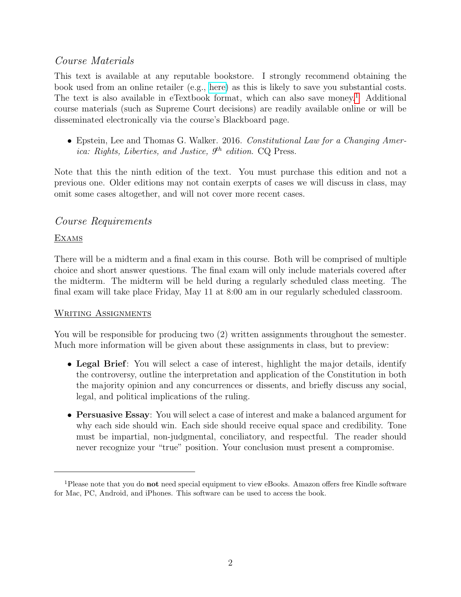# Course Materials

This text is available at any reputable bookstore. I strongly recommend obtaining the book used from an online retailer (e.g., [here\)](https://goo.gl/sgZhTY) as this is likely to save you substantial costs. The text is also available in eTextbook format, which can also save money.<sup>[1](#page-1-0)</sup> Additional course materials (such as Supreme Court decisions) are readily available online or will be disseminated electronically via the course's Blackboard page.

• Epstein, Lee and Thomas G. Walker. 2016. Constitutional Law for a Changing America: Rights, Liberties, and Justice,  $9<sup>th</sup>$  edition. CQ Press.

Note that this the ninth edition of the text. You must purchase this edition and not a previous one. Older editions may not contain exerpts of cases we will discuss in class, may omit some cases altogether, and will not cover more recent cases.

# Course Requirements

### **EXAMS**

There will be a midterm and a final exam in this course. Both will be comprised of multiple choice and short answer questions. The final exam will only include materials covered after the midterm. The midterm will be held during a regularly scheduled class meeting. The final exam will take place Friday, May 11 at 8:00 am in our regularly scheduled classroom.

### WRITING ASSIGNMENTS

You will be responsible for producing two (2) written assignments throughout the semester. Much more information will be given about these assignments in class, but to preview:

- Legal Brief: You will select a case of interest, highlight the major details, identify the controversy, outline the interpretation and application of the Constitution in both the majority opinion and any concurrences or dissents, and briefly discuss any social, legal, and political implications of the ruling.
- Persuasive Essay: You will select a case of interest and make a balanced argument for why each side should win. Each side should receive equal space and credibility. Tone must be impartial, non-judgmental, conciliatory, and respectful. The reader should never recognize your "true" position. Your conclusion must present a compromise.

<span id="page-1-0"></span><sup>1</sup>Please note that you do not need special equipment to view eBooks. Amazon offers free Kindle software for Mac, PC, Android, and iPhones. This software can be used to access the book.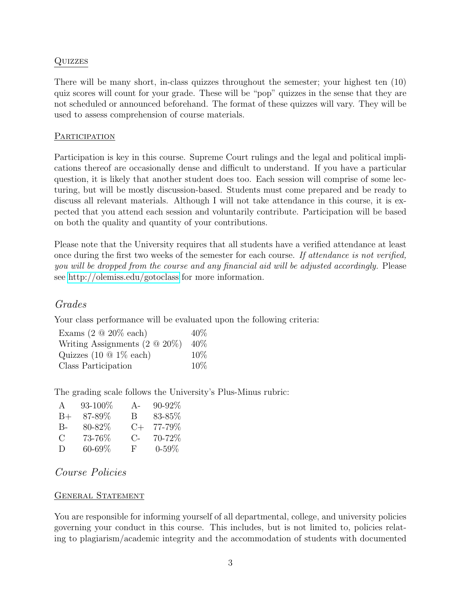#### Quizzes

There will be many short, in-class quizzes throughout the semester; your highest ten (10) quiz scores will count for your grade. These will be "pop" quizzes in the sense that they are not scheduled or announced beforehand. The format of these quizzes will vary. They will be used to assess comprehension of course materials.

#### **PARTICIPATION**

Participation is key in this course. Supreme Court rulings and the legal and political implications thereof are occasionally dense and difficult to understand. If you have a particular question, it is likely that another student does too. Each session will comprise of some lecturing, but will be mostly discussion-based. Students must come prepared and be ready to discuss all relevant materials. Although I will not take attendance in this course, it is expected that you attend each session and voluntarily contribute. Participation will be based on both the quality and quantity of your contributions.

Please note that the University requires that all students have a verified attendance at least once during the first two weeks of the semester for each course. If attendance is not verified, you will be dropped from the course and any financial aid will be adjusted accordingly. Please see<http://olemiss.edu/gotoclass> for more information.

# Grades

Your class performance will be evaluated upon the following criteria:

| Exams $(2 \tQ 20\% \teach)$          | $40\%$ |
|--------------------------------------|--------|
| Writing Assignments $(2 \tQ 20\%)$   | $40\%$ |
| Quizzes $(10 \t{0} \t{1}\t% \teach)$ | $10\%$ |
| Class Participation                  | $10\%$ |

The grading scale follows the University's Plus-Minus rubric:

| A     | 93-100%     | $A -$       | $90 - 92\%$ |
|-------|-------------|-------------|-------------|
| $B+$  | 87-89%      | B.          | 83-85%      |
| $B -$ | 80-82\%     | $C_{+}$     | 77-79%      |
| C     | 73-76%      | $C_{\rm -}$ | 70-72%      |
| D     | $60 - 69\%$ | F           | $0 - 59\%$  |

# Course Policies

#### GENERAL STATEMENT

You are responsible for informing yourself of all departmental, college, and university policies governing your conduct in this course. This includes, but is not limited to, policies relating to plagiarism/academic integrity and the accommodation of students with documented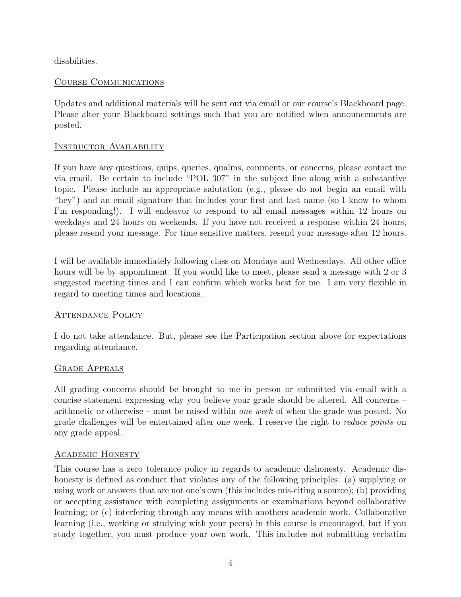disabilities.

### Course Communications

Updates and additional materials will be sent out via email or our course's Blackboard page. Please alter your Blackboard settings such that you are notified when announcements are posted.

#### INSTRUCTOR AVAILABILITY

If you have any questions, quips, queries, qualms, comments, or concerns, please contact me via email. Be certain to include "POL 307" in the subject line along with a substantive topic. Please include an appropriate salutation (e.g., please do not begin an email with "hey") and an email signature that includes your first and last name (so I know to whom I'm responding!). I will endeavor to respond to all email messages within 12 hours on weekdays and 24 hours on weekends. If you have not received a response within 24 hours, please resend your message. For time sensitive matters, resend your message after 12 hours.

I will be available immediately following class on Mondays and Wednesdays. All other office hours will be by appointment. If you would like to meet, please send a message with 2 or 3 suggested meeting times and I can confirm which works best for me. I am very flexible in regard to meeting times and locations.

### ATTENDANCE POLICY

I do not take attendance. But, please see the Participation section above for expectations regarding attendance.

### Grade Appeals

All grading concerns should be brought to me in person or submitted via email with a concise statement expressing why you believe your grade should be altered. All concerns – arithmetic or otherwise – must be raised within one week of when the grade was posted. No grade challenges will be entertained after one week. I reserve the right to reduce points on any grade appeal.

### Academic Honesty

This course has a zero tolerance policy in regards to academic dishonesty. Academic dishonesty is defined as conduct that violates any of the following principles: (a) supplying or using work or answers that are not one's own (this includes mis-citing a source); (b) providing or accepting assistance with completing assignments or examinations beyond collaborative learning; or (c) interfering through any means with anothers academic work. Collaborative learning (i.e., working or studying with your peers) in this course is encouraged, but if you study together, you must produce your own work. This includes not submitting verbatim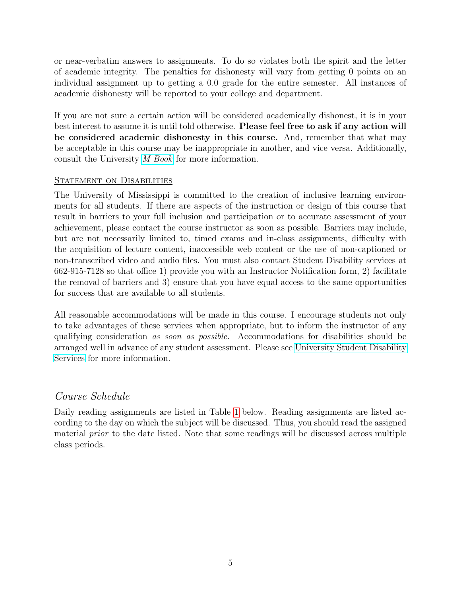or near-verbatim answers to assignments. To do so violates both the spirit and the letter of academic integrity. The penalties for dishonesty will vary from getting 0 points on an individual assignment up to getting a 0.0 grade for the entire semester. All instances of academic dishonesty will be reported to your college and department.

If you are not sure a certain action will be considered academically dishonest, it is in your best interest to assume it is until told otherwise. Please feel free to ask if any action will be considered academic dishonesty in this course. And, remember that what may be acceptable in this course may be inappropriate in another, and vice versa. Additionally, consult the University [M Book](http://conflictresolution.olemiss.edu/wp-content/uploads/sites/2/2014/09/MBOOK20153.pdf) for more information.

#### STATEMENT ON DISABILITIES

The University of Mississippi is committed to the creation of inclusive learning environments for all students. If there are aspects of the instruction or design of this course that result in barriers to your full inclusion and participation or to accurate assessment of your achievement, please contact the course instructor as soon as possible. Barriers may include, but are not necessarily limited to, timed exams and in-class assignments, difficulty with the acquisition of lecture content, inaccessible web content or the use of non-captioned or non-transcribed video and audio files. You must also contact Student Disability services at 662-915-7128 so that office 1) provide you with an Instructor Notification form, 2) facilitate the removal of barriers and 3) ensure that you have equal access to the same opportunities for success that are available to all students.

All reasonable accommodations will be made in this course. I encourage students not only to take advantages of these services when appropriate, but to inform the instructor of any qualifying consideration as soon as possible. Accommodations for disabilities should be arranged well in advance of any student assessment. Please see [University Student Disability](sds.olemiss.edu) [Services](sds.olemiss.edu) for more information.

### Course Schedule

Daily reading assignments are listed in Table [1](#page-0-0) below. Reading assignments are listed according to the day on which the subject will be discussed. Thus, you should read the assigned material prior to the date listed. Note that some readings will be discussed across multiple class periods.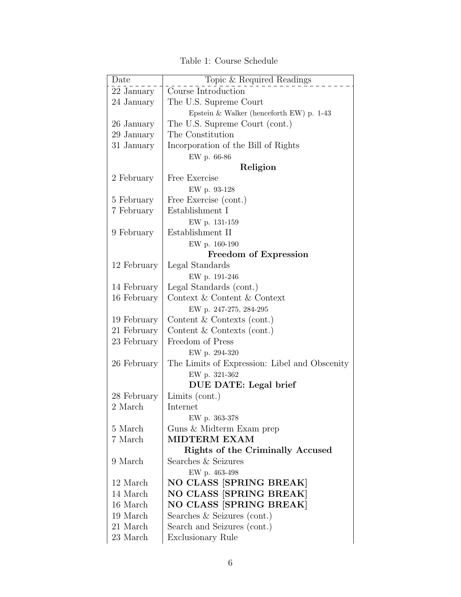| Date         | Topic & Required Readings                     |
|--------------|-----------------------------------------------|
| $22$ January | Course Introduction                           |
| 24 January   | The U.S. Supreme Court                        |
|              | Epstein & Walker (henceforth EW) p. $1-43$    |
| 26 January   | The U.S. Supreme Court (cont.)                |
| 29 January   | The Constitution                              |
| 31 January   | Incorporation of the Bill of Rights           |
|              | EW p. 66-86                                   |
|              | Religion                                      |
| 2 February   | Free Exercise                                 |
|              | EW p. 93-128                                  |
| 5 February   | Free Exercise (cont.)                         |
| 7 February   | Establishment I                               |
|              | EW p. 131-159                                 |
| 9 February   | Establishment II                              |
|              | EW p. 160-190                                 |
|              | Freedom of Expression                         |
| 12 February  | Legal Standards                               |
|              | EW p. 191-246                                 |
| 14 February  | Legal Standards (cont.)                       |
| 16 February  | Context & Content & Context                   |
|              | EW p. 247-275, 284-295                        |
| 19 February  | Content $&$ Contexts (cont.)                  |
| 21 February  | Content $&$ Contexts (cont.)                  |
| 23 February  | Freedom of Press                              |
|              | EW p. 294-320                                 |
| 26 February  | The Limits of Expression: Libel and Obscenity |
|              | EW p. 321-362                                 |
|              | DUE DATE: Legal brief                         |
| 28 February  | Limits $(cont.)$                              |
| 2 March      | Internet                                      |
|              | EW p. 363-378                                 |
| 5 March      | Guns & Midterm Exam prep                      |
| 7 March      | <b>MIDTERM EXAM</b>                           |
|              | <b>Rights of the Criminally Accused</b>       |
| 9 March      | Searches & Seizures                           |
|              | EW p. 463-498                                 |
| 12 March     | NO CLASS [SPRING BREAK]                       |
| 14 March     | <b>NO CLASS [SPRING BREAK]</b>                |
| 16 March     | NO CLASS [SPRING BREAK]                       |
| 19 March     | Searches $&$ Seizures (cont.)                 |
| 21 March     | Search and Seizures (cont.)                   |
| 23 March     | <b>Exclusionary Rule</b>                      |

Table 1: Course Schedule